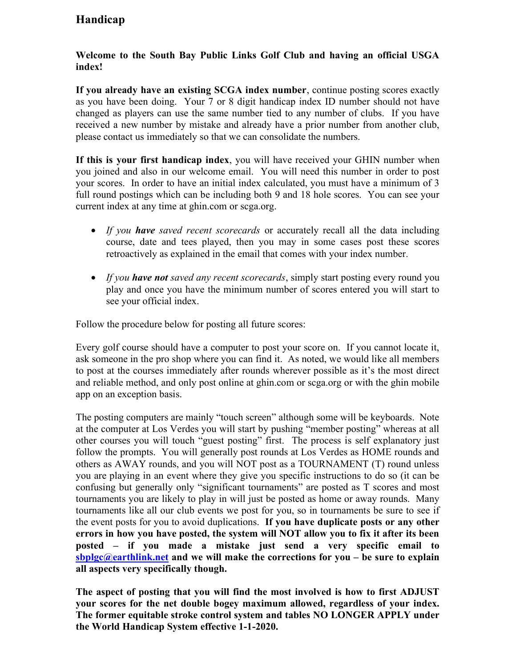## Handicap

## Welcome to the South Bay Public Links Golf Club and having an official USGA index!

If you already have an existing SCGA index number, continue posting scores exactly as you have been doing. Your 7 or 8 digit handicap index ID number should not have changed as players can use the same number tied to any number of clubs. If you have received a new number by mistake and already have a prior number from another club, please contact us immediately so that we can consolidate the numbers.

If this is your first handicap index, you will have received your GHIN number when you joined and also in our welcome email. You will need this number in order to post your scores. In order to have an initial index calculated, you must have a minimum of 3 full round postings which can be including both 9 and 18 hole scores. You can see your current index at any time at ghin.com or scga.org.

- If you have saved recent scorecards or accurately recall all the data including course, date and tees played, then you may in some cases post these scores retroactively as explained in the email that comes with your index number.
- If you have not saved any recent scorecards, simply start posting every round you play and once you have the minimum number of scores entered you will start to see your official index.

Follow the procedure below for posting all future scores:

Every golf course should have a computer to post your score on. If you cannot locate it, ask someone in the pro shop where you can find it. As noted, we would like all members to post at the courses immediately after rounds wherever possible as it's the most direct and reliable method, and only post online at ghin.com or scga.org or with the ghin mobile app on an exception basis.

The posting computers are mainly "touch screen" although some will be keyboards. Note at the computer at Los Verdes you will start by pushing "member posting" whereas at all other courses you will touch "guest posting" first. The process is self explanatory just follow the prompts. You will generally post rounds at Los Verdes as HOME rounds and others as AWAY rounds, and you will NOT post as a TOURNAMENT (T) round unless you are playing in an event where they give you specific instructions to do so (it can be confusing but generally only "significant tournaments" are posted as T scores and most tournaments you are likely to play in will just be posted as home or away rounds. Many tournaments like all our club events we post for you, so in tournaments be sure to see if the event posts for you to avoid duplications. If you have duplicate posts or any other errors in how you have posted, the system will NOT allow you to fix it after its been posted – if you made a mistake just send a very specific email to sbplgc@earthlink.net and we will make the corrections for you – be sure to explain all aspects very specifically though.

The aspect of posting that you will find the most involved is how to first ADJUST your scores for the net double bogey maximum allowed, regardless of your index. The former equitable stroke control system and tables NO LONGER APPLY under the World Handicap System effective 1-1-2020.